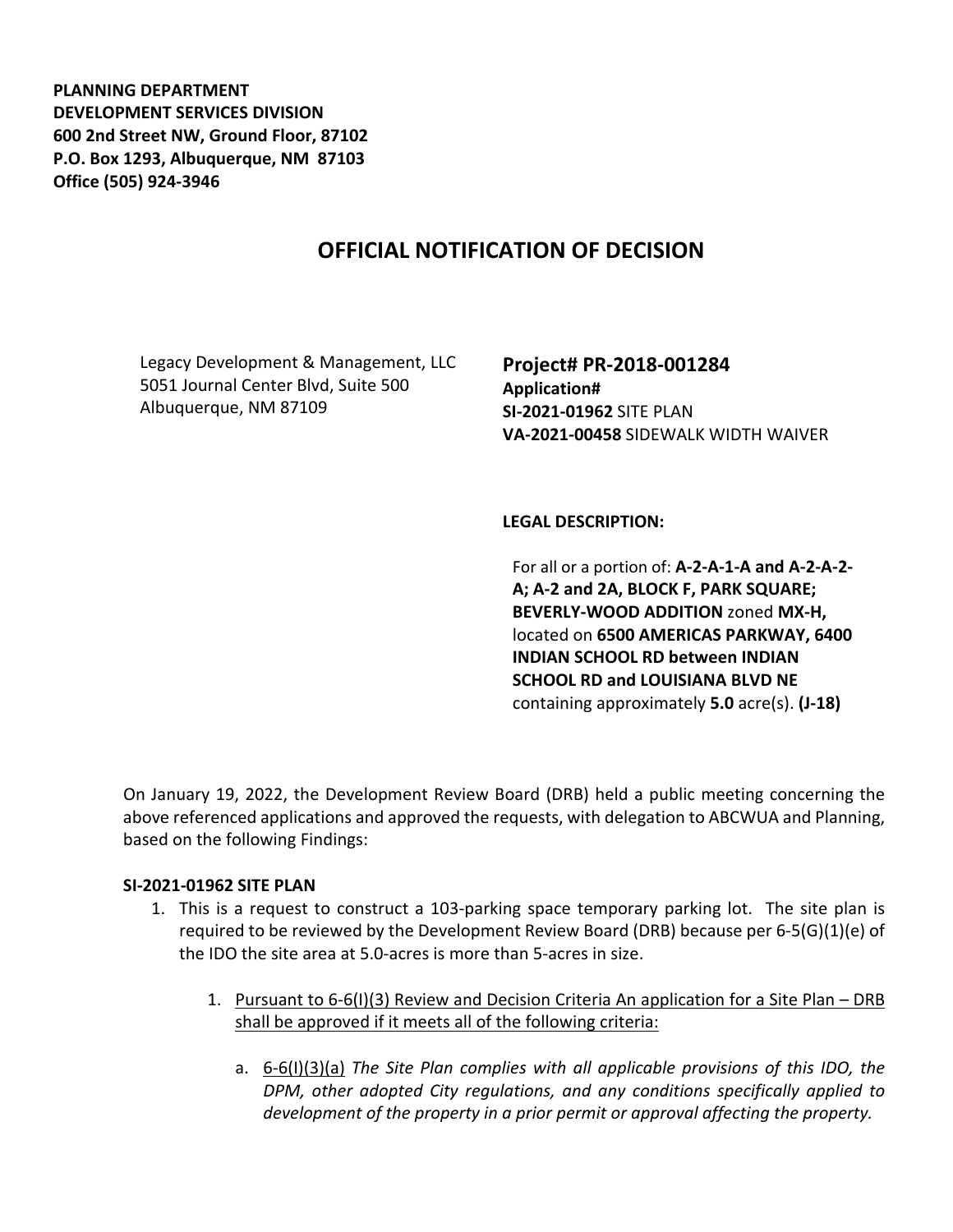**PLANNING DEPARTMENT DEVELOPMENT SERVICES DIVISION 600 2nd Street NW, Ground Floor, 87102 P.O. Box 1293, Albuquerque, NM 87103 Office (505) 924-3946** 

## **OFFICIAL NOTIFICATION OF DECISION**

Legacy Development & Management, LLC 5051 Journal Center Blvd, Suite 500 Albuquerque, NM 87109

**Project# PR-2018-001284 Application# SI-2021-01962** SITE PLAN **VA-2021-00458** SIDEWALK WIDTH WAIVER

**LEGAL DESCRIPTION:**

For all or a portion of: **A-2-A-1-A and A-2-A-2- A; A-2 and 2A, BLOCK F, PARK SQUARE; BEVERLY-WOOD ADDITION** zoned **MX-H,**  located on **6500 AMERICAS PARKWAY, 6400 INDIAN SCHOOL RD between INDIAN SCHOOL RD and LOUISIANA BLVD NE**  containing approximately **5.0** acre(s). **(J-18)**

On January 19, 2022, the Development Review Board (DRB) held a public meeting concerning the above referenced applications and approved the requests, with delegation to ABCWUA and Planning, based on the following Findings:

## **SI-2021-01962 SITE PLAN**

- 1. This is a request to construct a 103-parking space temporary parking lot. The site plan is required to be reviewed by the Development Review Board (DRB) because per 6-5(G)(1)(e) of the IDO the site area at 5.0-acres is more than 5-acres in size.
	- 1. Pursuant to 6-6(I)(3) Review and Decision Criteria An application for a Site Plan DRB shall be approved if it meets all of the following criteria:
		- a. 6-6(I)(3)(a) *The Site Plan complies with all applicable provisions of this IDO, the DPM, other adopted City regulations, and any conditions specifically applied to development of the property in a prior permit or approval affecting the property.*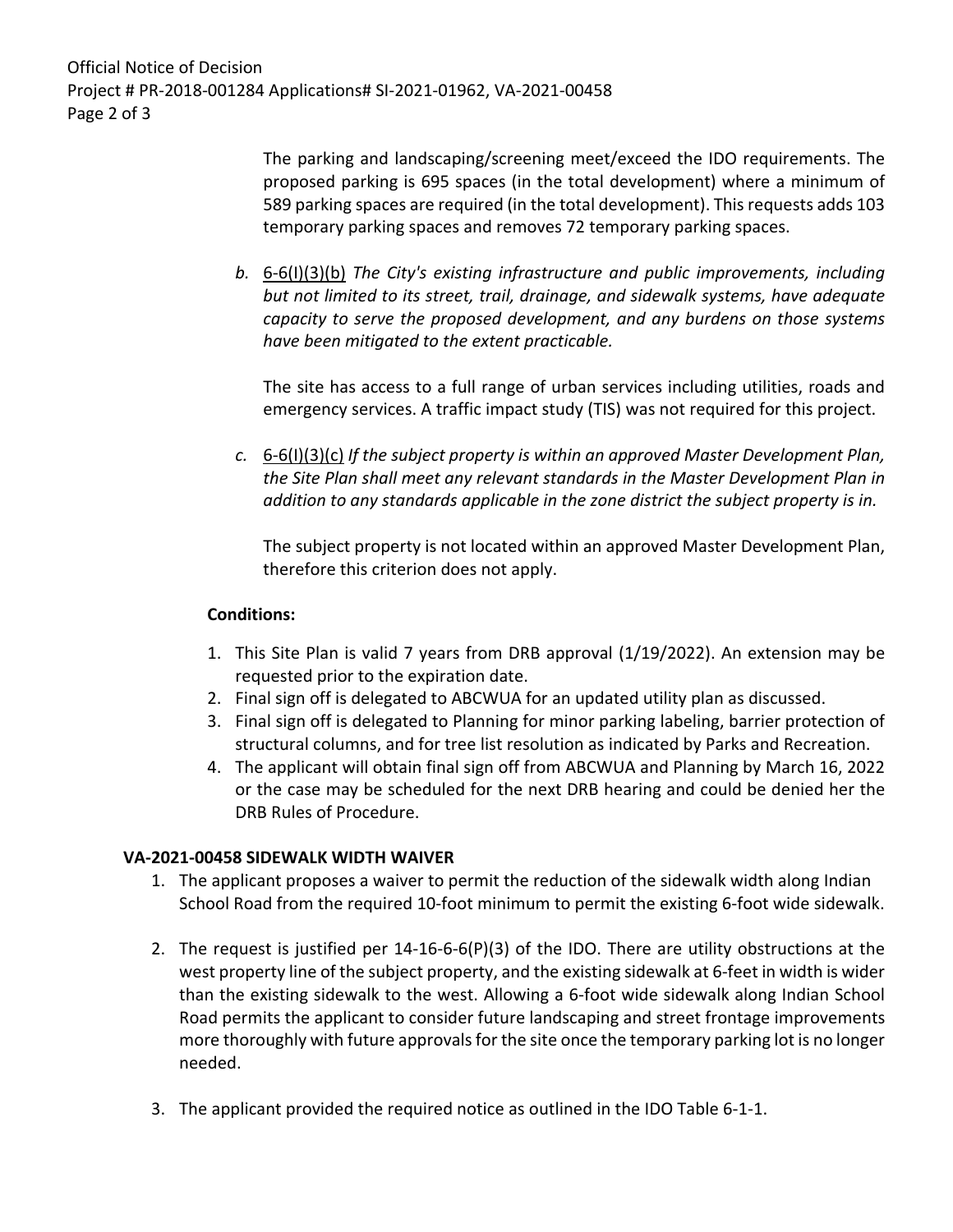Official Notice of Decision Project # PR-2018-001284 Applications# SI-2021-01962, VA-2021-00458 Page 2 of 3

> The parking and landscaping/screening meet/exceed the IDO requirements. The proposed parking is 695 spaces (in the total development) where a minimum of 589 parking spaces are required (in the total development). This requests adds 103 temporary parking spaces and removes 72 temporary parking spaces.

*b.* 6-6(I)(3)(b) *The City's existing infrastructure and public improvements, including but not limited to its street, trail, drainage, and sidewalk systems, have adequate capacity to serve the proposed development, and any burdens on those systems have been mitigated to the extent practicable.* 

The site has access to a full range of urban services including utilities, roads and emergency services. A traffic impact study (TIS) was not required for this project.

*c.* 6-6(I)(3)(c) *If the subject property is within an approved Master Development Plan, the Site Plan shall meet any relevant standards in the Master Development Plan in addition to any standards applicable in the zone district the subject property is in.*

The subject property is not located within an approved Master Development Plan, therefore this criterion does not apply.

## **Conditions:**

- 1. This Site Plan is valid 7 years from DRB approval (1/19/2022). An extension may be requested prior to the expiration date.
- 2. Final sign off is delegated to ABCWUA for an updated utility plan as discussed.
- 3. Final sign off is delegated to Planning for minor parking labeling, barrier protection of structural columns, and for tree list resolution as indicated by Parks and Recreation.
- 4. The applicant will obtain final sign off from ABCWUA and Planning by March 16, 2022 or the case may be scheduled for the next DRB hearing and could be denied her the DRB Rules of Procedure.

## **VA-2021-00458 SIDEWALK WIDTH WAIVER**

- 1. The applicant proposes a waiver to permit the reduction of the sidewalk width along Indian School Road from the required 10-foot minimum to permit the existing 6-foot wide sidewalk.
- 2. The request is justified per 14-16-6-6(P)(3) of the IDO. There are utility obstructions at the west property line of the subject property, and the existing sidewalk at 6-feet in width is wider than the existing sidewalk to the west. Allowing a 6-foot wide sidewalk along Indian School Road permits the applicant to consider future landscaping and street frontage improvements more thoroughly with future approvals for the site once the temporary parking lot is no longer needed.
- 3. The applicant provided the required notice as outlined in the IDO Table 6-1-1.